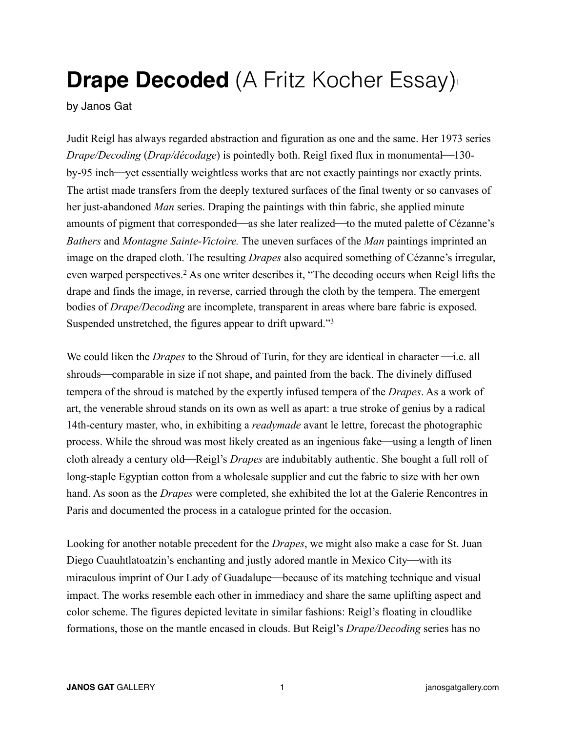## **Drape Decoded** (A Fritz Kocher Essay)<sup>1</sup>

by Janos Gat

Judit Reigl has always regarded abstraction and figuration as one and the same. Her 1973 series *Drape/Decoding (Drap/décodage)* is pointedly both. Reigl fixed flux in monumental—130by-95 inch—yet essentially weightless works that are not exactly paintings nor exactly prints. The artist made transfers from the deeply textured surfaces of the final twenty or so canvases of her just-abandoned *Man* series. Draping the paintings with thin fabric, she applied minute amounts of pigment that corresponded—as she later realized—to the muted palette of Cézanne's *Bathers* and *Montagne Sainte-Victoire.* The uneven surfaces of the *Man* paintings imprinted an image on the draped cloth. The resulting *Drapes* also acquired something of Cézanne's irregular, even warped perspectives.2 As one writer describes it, "The decoding occurs when Reigl lifts the drape and finds the image, in reverse, carried through the cloth by the tempera. The emergent bodies of *Drape/Decoding* are incomplete, transparent in areas where bare fabric is exposed. Suspended unstretched, the figures appear to drift upward."<sup>3</sup>

We could liken the *Drapes* to the Shroud of Turin, for they are identical in character  $\rightarrow$ i.e. all shrouds—comparable in size if not shape, and painted from the back. The divinely diffused tempera of the shroud is matched by the expertly infused tempera of the *Drapes*. As a work of art, the venerable shroud stands on its own as well as apart: a true stroke of genius by a radical 14th-century master, who, in exhibiting a *readymade* avant le lettre, forecast the photographic process. While the shroud was most likely created as an ingenious fake—using a length of linen cloth already a century old—Reigl's *Drapes* are indubitably authentic. She bought a full roll of long-staple Egyptian cotton from a wholesale supplier and cut the fabric to size with her own hand. As soon as the *Drapes* were completed, she exhibited the lot at the Galerie Rencontres in Paris and documented the process in a catalogue printed for the occasion.

Looking for another notable precedent for the *Drapes*, we might also make a case for St. Juan Diego Cuauhtlatoatzin's enchanting and justly adored mantle in Mexico City—with its miraculous imprint of Our Lady of Guadalupe—because of its matching technique and visual impact. The works resemble each other in immediacy and share the same uplifting aspect and color scheme. The figures depicted levitate in similar fashions: Reigl's floating in cloudlike formations, those on the mantle encased in clouds. But Reigl's *Drape/Decoding* series has no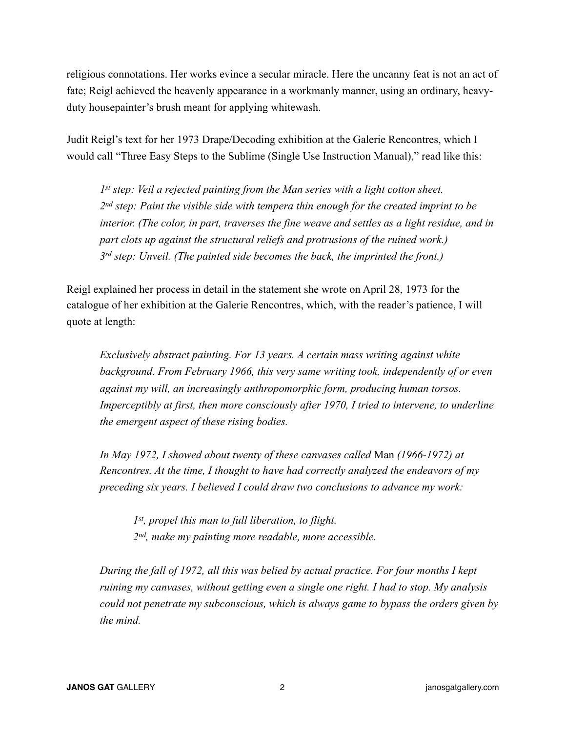religious connotations. Her works evince a secular miracle. Here the uncanny feat is not an act of fate; Reigl achieved the heavenly appearance in a workmanly manner, using an ordinary, heavyduty housepainter's brush meant for applying whitewash.

Judit Reigl's text for her 1973 Drape/Decoding exhibition at the Galerie Rencontres, which I would call "Three Easy Steps to the Sublime (Single Use Instruction Manual)," read like this:

*1st step: Veil a rejected painting from the Man series with a light cotton sheet. 2nd step: Paint the visible side with tempera thin enough for the created imprint to be interior. (The color, in part, traverses the fine weave and settles as a light residue, and in part clots up against the structural reliefs and protrusions of the ruined work.) 3rd step: Unveil. (The painted side becomes the back, the imprinted the front.)* 

Reigl explained her process in detail in the statement she wrote on April 28, 1973 for the catalogue of her exhibition at the Galerie Rencontres, which, with the reader's patience, I will quote at length:

*Exclusively abstract painting. For 13 years. A certain mass writing against white background. From February 1966, this very same writing took, independently of or even against my will, an increasingly anthropomorphic form, producing human torsos. Imperceptibly at first, then more consciously after 1970, I tried to intervene, to underline the emergent aspect of these rising bodies.*

*In May 1972, I showed about twenty of these canvases called* Man *(1966-1972) at Rencontres. At the time, I thought to have had correctly analyzed the endeavors of my preceding six years. I believed I could draw two conclusions to advance my work:* 

*1st, propel this man to full liberation, to flight. 2nd, make my painting more readable, more accessible.* 

*During the fall of 1972, all this was belied by actual practice. For four months I kept ruining my canvases, without getting even a single one right. I had to stop. My analysis could not penetrate my subconscious, which is always game to bypass the orders given by the mind.*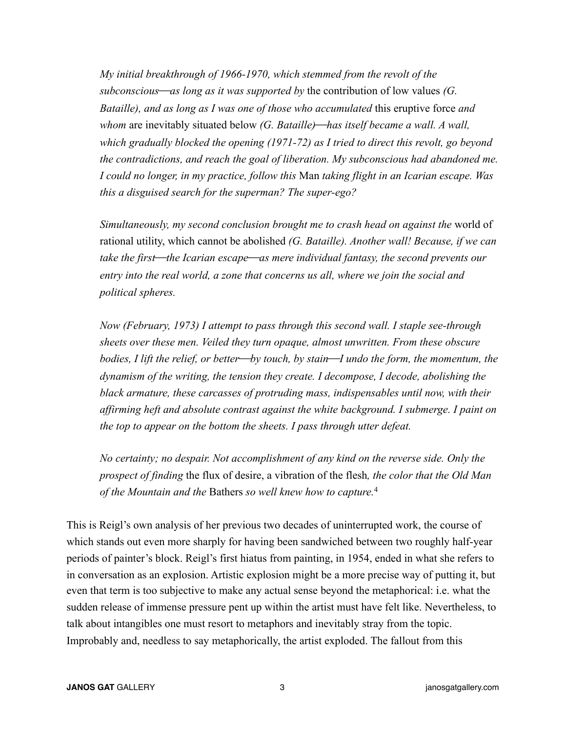*My initial breakthrough of 1966-1970, which stemmed from the revolt of the subconscious—as long as it was supported by the contribution of low values (G. Bataille), and as long as I was one of those who accumulated* this eruptive force *and whom* are inevitably situated below (G. Bataille)—has itself became a wall. A wall, *which gradually blocked the opening (1971-72) as I tried to direct this revolt, go beyond the contradictions, and reach the goal of liberation. My subconscious had abandoned me. I could no longer, in my practice, follow this* Man *taking flight in an Icarian escape. Was this a disguised search for the superman? The super-ego?* 

*Simultaneously, my second conclusion brought me to crash head on against the* world of rational utility, which cannot be abolished *(G. Bataille). Another wall! Because, if we can take the first*⎯*the Icarian escape*⎯*as mere individual fantasy, the second prevents our entry into the real world, a zone that concerns us all, where we join the social and political spheres.*

*Now (February, 1973) I attempt to pass through this second wall. I staple see-through sheets over these men. Veiled they turn opaque, almost unwritten. From these obscure bodies, I lift the relief, or better—by touch, by stain—I undo the form, the momentum, the dynamism of the writing, the tension they create. I decompose, I decode, abolishing the black armature, these carcasses of protruding mass, indispensables until now, with their affirming heft and absolute contrast against the white background. I submerge. I paint on the top to appear on the bottom the sheets. I pass through utter defeat.* 

*No certainty; no despair. Not accomplishment of any kind on the reverse side. Only the prospect of finding* the flux of desire, a vibration of the flesh*, the color that the Old Man of the Mountain and the* Bathers *so well knew how to capture.*<sup>4</sup>

This is Reigl's own analysis of her previous two decades of uninterrupted work, the course of which stands out even more sharply for having been sandwiched between two roughly half-year periods of painter's block. Reigl's first hiatus from painting, in 1954, ended in what she refers to in conversation as an explosion. Artistic explosion might be a more precise way of putting it, but even that term is too subjective to make any actual sense beyond the metaphorical: i.e. what the sudden release of immense pressure pent up within the artist must have felt like. Nevertheless, to talk about intangibles one must resort to metaphors and inevitably stray from the topic. Improbably and, needless to say metaphorically, the artist exploded. The fallout from this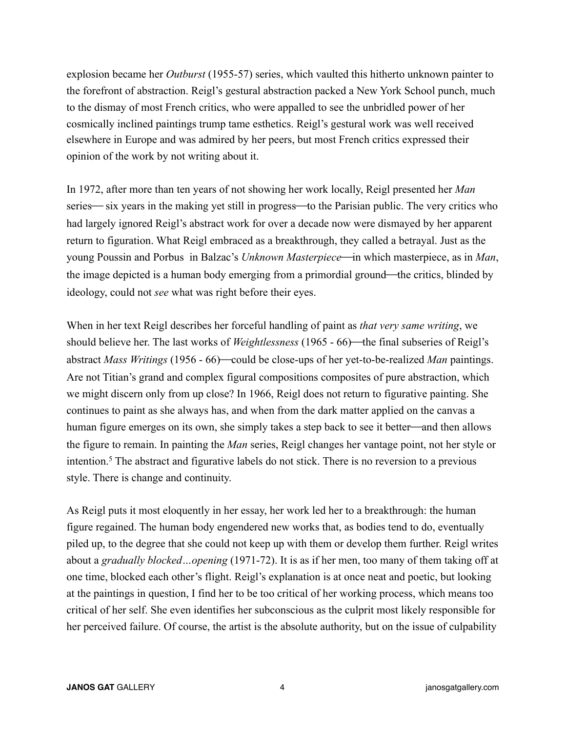explosion became her *Outburst* (1955-57) series, which vaulted this hitherto unknown painter to the forefront of abstraction. Reigl's gestural abstraction packed a New York School punch, much to the dismay of most French critics, who were appalled to see the unbridled power of her cosmically inclined paintings trump tame esthetics. Reigl's gestural work was well received elsewhere in Europe and was admired by her peers, but most French critics expressed their opinion of the work by not writing about it.

In 1972, after more than ten years of not showing her work locally, Reigl presented her *Man* series— six years in the making yet still in progress—to the Parisian public. The very critics who had largely ignored Reigl's abstract work for over a decade now were dismayed by her apparent return to figuration. What Reigl embraced as a breakthrough, they called a betrayal. Just as the young Poussin and Porbus in Balzac's *Unknown Masterpiece*—in which masterpiece, as in *Man*, the image depicted is a human body emerging from a primordial ground—the critics, blinded by ideology, could not *see* what was right before their eyes.

When in her text Reigl describes her forceful handling of paint as *that very same writing*, we should believe her. The last works of *Weightlessness* (1965 - 66)—the final subseries of Reigl's abstract *Mass Writings* (1956 - 66)—could be close-ups of her yet-to-be-realized *Man* paintings. Are not Titian's grand and complex figural compositions composites of pure abstraction, which we might discern only from up close? In 1966, Reigl does not return to figurative painting. She continues to paint as she always has, and when from the dark matter applied on the canvas a human figure emerges on its own, she simply takes a step back to see it better—and then allows the figure to remain. In painting the *Man* series, Reigl changes her vantage point, not her style or intention.5 The abstract and figurative labels do not stick. There is no reversion to a previous style. There is change and continuity.

As Reigl puts it most eloquently in her essay, her work led her to a breakthrough: the human figure regained. The human body engendered new works that, as bodies tend to do, eventually piled up, to the degree that she could not keep up with them or develop them further. Reigl writes about a *gradually blocked…opening* (1971-72). It is as if her men, too many of them taking off at one time, blocked each other's flight. Reigl's explanation is at once neat and poetic, but looking at the paintings in question, I find her to be too critical of her working process, which means too critical of her self. She even identifies her subconscious as the culprit most likely responsible for her perceived failure. Of course, the artist is the absolute authority, but on the issue of culpability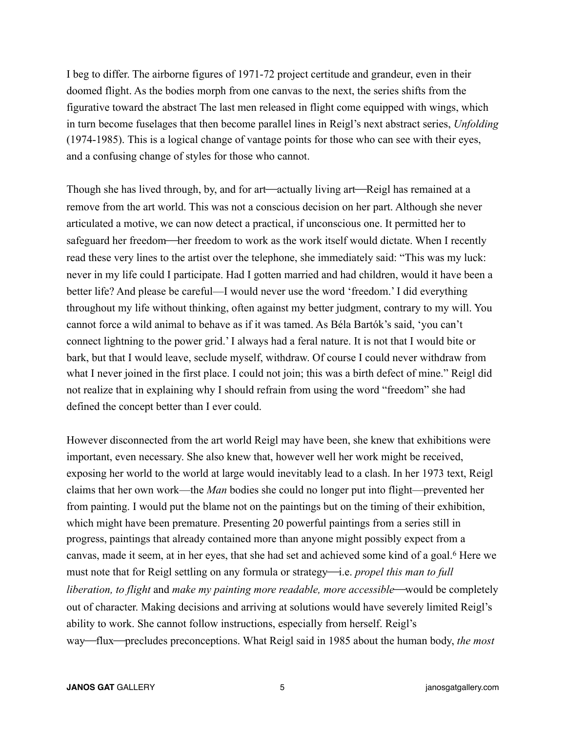I beg to differ. The airborne figures of 1971-72 project certitude and grandeur, even in their doomed flight. As the bodies morph from one canvas to the next, the series shifts from the figurative toward the abstract The last men released in flight come equipped with wings, which in turn become fuselages that then become parallel lines in Reigl's next abstract series, *Unfolding* (1974-1985). This is a logical change of vantage points for those who can see with their eyes, and a confusing change of styles for those who cannot.

Though she has lived through, by, and for art—actually living art—Reigl has remained at a remove from the art world. This was not a conscious decision on her part. Although she never articulated a motive, we can now detect a practical, if unconscious one. It permitted her to safeguard her freedom—her freedom to work as the work itself would dictate. When I recently read these very lines to the artist over the telephone, she immediately said: "This was my luck: never in my life could I participate. Had I gotten married and had children, would it have been a better life? And please be careful—I would never use the word 'freedom.' I did everything throughout my life without thinking, often against my better judgment, contrary to my will. You cannot force a wild animal to behave as if it was tamed. As Béla Bartók's said, 'you can't connect lightning to the power grid.' I always had a feral nature. It is not that I would bite or bark, but that I would leave, seclude myself, withdraw. Of course I could never withdraw from what I never joined in the first place. I could not join; this was a birth defect of mine." Reigl did not realize that in explaining why I should refrain from using the word "freedom" she had defined the concept better than I ever could.

However disconnected from the art world Reigl may have been, she knew that exhibitions were important, even necessary. She also knew that, however well her work might be received, exposing her world to the world at large would inevitably lead to a clash. In her 1973 text, Reigl claims that her own work—the *Man* bodies she could no longer put into flight—prevented her from painting. I would put the blame not on the paintings but on the timing of their exhibition, which might have been premature. Presenting 20 powerful paintings from a series still in progress, paintings that already contained more than anyone might possibly expect from a canvas, made it seem, at in her eyes, that she had set and achieved some kind of a goal.<sup>6</sup> Here we must note that for Reigl settling on any formula or strategy—i.e. *propel this man to full liberation, to flight* and *make my painting more readable, more accessible*—would be completely out of character. Making decisions and arriving at solutions would have severely limited Reigl's ability to work. She cannot follow instructions, especially from herself. Reigl's way—flux—precludes preconceptions. What Reigl said in 1985 about the human body, *the most*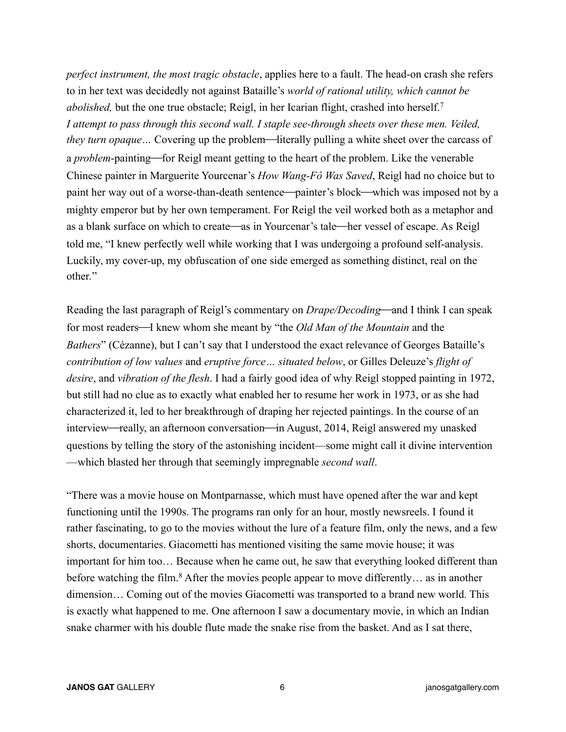*perfect instrument, the most tragic obstacle*, applies here to a fault. The head-on crash she refers to in her text was decidedly not against Bataille's *world of rational utility, which cannot be abolished*, but the one true obstacle; Reigl, in her Icarian flight, crashed into herself.<sup>7</sup> *I attempt to pass through this second wall. I staple see-through sheets over these men. Veiled, they turn opaque*... Covering up the problem—literally pulling a white sheet over the carcass of a *problem*-painting—for Reigl meant getting to the heart of the problem. Like the venerable Chinese painter in Marguerite Yourcenar's *How Wang-Fô Was Saved*, Reigl had no choice but to paint her way out of a worse-than-death sentence—painter's block—which was imposed not by a mighty emperor but by her own temperament. For Reigl the veil worked both as a metaphor and as a blank surface on which to create—as in Yourcenar's tale—her vessel of escape. As Reigl told me, "I knew perfectly well while working that I was undergoing a profound self-analysis. Luckily, my cover-up, my obfuscation of one side emerged as something distinct, real on the other*.*"

Reading the last paragraph of Reigl's commentary on *Drape/Decoding*—and I think I can speak for most readers—I knew whom she meant by "the *Old Man of the Mountain* and the *Bathers*" (Cézanne), but I can't say that I understood the exact relevance of Georges Bataille's *contribution of low values* and *eruptive force… situated below*, or Gilles Deleuze's *flight of desire*, and *vibration of the flesh*. I had a fairly good idea of why Reigl stopped painting in 1972, but still had no clue as to exactly what enabled her to resume her work in 1973, or as she had characterized it, led to her breakthrough of draping her rejected paintings. In the course of an interview—really, an afternoon conversation—in August, 2014, Reigl answered my unasked questions by telling the story of the astonishing incident—some might call it divine intervention —which blasted her through that seemingly impregnable *second wall*.

"There was a movie house on Montparnasse, which must have opened after the war and kept functioning until the 1990s. The programs ran only for an hour, mostly newsreels. I found it rather fascinating, to go to the movies without the lure of a feature film, only the news, and a few shorts, documentaries. Giacometti has mentioned visiting the same movie house; it was important for him too… Because when he came out, he saw that everything looked different than before watching the film.<sup>8</sup> After the movies people appear to move differently... as in another dimension… Coming out of the movies Giacometti was transported to a brand new world. This is exactly what happened to me. One afternoon I saw a documentary movie, in which an Indian snake charmer with his double flute made the snake rise from the basket. And as I sat there,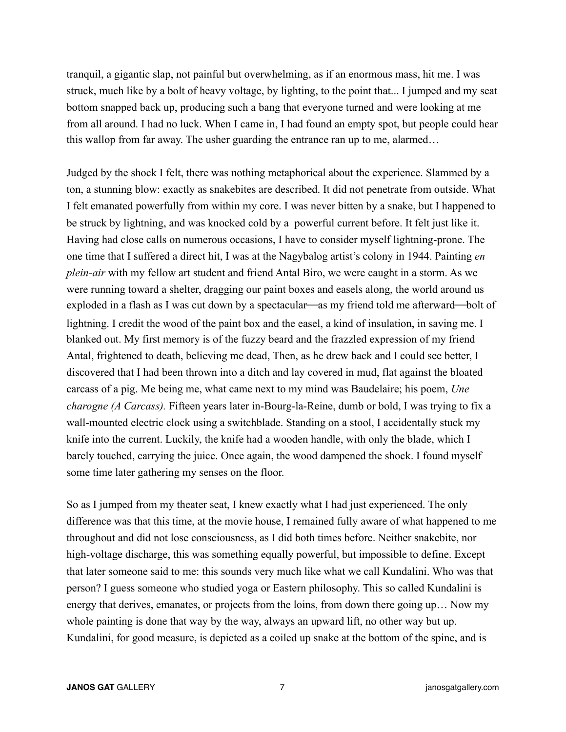tranquil, a gigantic slap, not painful but overwhelming, as if an enormous mass, hit me. I was struck, much like by a bolt of heavy voltage, by lighting, to the point that... I jumped and my seat bottom snapped back up, producing such a bang that everyone turned and were looking at me from all around. I had no luck. When I came in, I had found an empty spot, but people could hear this wallop from far away. The usher guarding the entrance ran up to me, alarmed…

Judged by the shock I felt, there was nothing metaphorical about the experience. Slammed by a ton, a stunning blow: exactly as snakebites are described. It did not penetrate from outside. What I felt emanated powerfully from within my core. I was never bitten by a snake, but I happened to be struck by lightning, and was knocked cold by a powerful current before. It felt just like it. Having had close calls on numerous occasions, I have to consider myself lightning-prone. The one time that I suffered a direct hit, I was at the Nagybalog artist's colony in 1944. Painting *en plein-air* with my fellow art student and friend Antal Biro, we were caught in a storm. As we were running toward a shelter, dragging our paint boxes and easels along, the world around us exploded in a flash as I was cut down by a spectacular—as my friend told me afterward—bolt of lightning. I credit the wood of the paint box and the easel, a kind of insulation, in saving me. I blanked out. My first memory is of the fuzzy beard and the frazzled expression of my friend Antal, frightened to death, believing me dead, Then, as he drew back and I could see better, I discovered that I had been thrown into a ditch and lay covered in mud, flat against the bloated carcass of a pig. Me being me, what came next to my mind was Baudelaire; his poem, *Une charogne (A Carcass).* Fifteen years later in-Bourg-la-Reine, dumb or bold, I was trying to fix a wall-mounted electric clock using a switchblade. Standing on a stool, I accidentally stuck my knife into the current. Luckily, the knife had a wooden handle, with only the blade, which I barely touched, carrying the juice. Once again, the wood dampened the shock. I found myself some time later gathering my senses on the floor.

So as I jumped from my theater seat, I knew exactly what I had just experienced. The only difference was that this time, at the movie house, I remained fully aware of what happened to me throughout and did not lose consciousness, as I did both times before. Neither snakebite, nor high-voltage discharge, this was something equally powerful, but impossible to define. Except that later someone said to me: this sounds very much like what we call Kundalini. Who was that person? I guess someone who studied yoga or Eastern philosophy. This so called Kundalini is energy that derives, emanates, or projects from the loins, from down there going up… Now my whole painting is done that way by the way, always an upward lift, no other way but up. Kundalini, for good measure, is depicted as a coiled up snake at the bottom of the spine, and is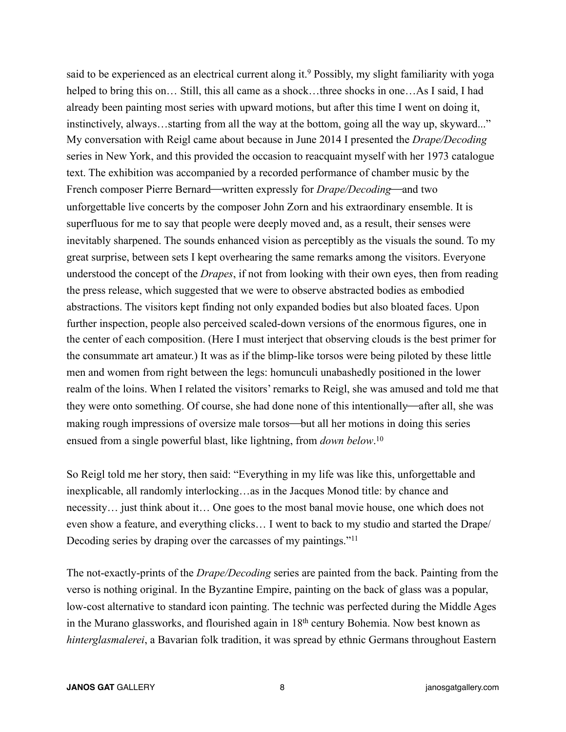said to be experienced as an electrical current along it.<sup>9</sup> Possibly, my slight familiarity with yoga helped to bring this on... Still, this all came as a shock...three shocks in one...As I said, I had already been painting most series with upward motions, but after this time I went on doing it, instinctively, always…starting from all the way at the bottom, going all the way up, skyward..." My conversation with Reigl came about because in June 2014 I presented the *Drape/Decoding* series in New York, and this provided the occasion to reacquaint myself with her 1973 catalogue text. The exhibition was accompanied by a recorded performance of chamber music by the French composer Pierre Bernard—written expressly for *Drape/Decoding*—and two unforgettable live concerts by the composer John Zorn and his extraordinary ensemble. It is superfluous for me to say that people were deeply moved and, as a result, their senses were inevitably sharpened. The sounds enhanced vision as perceptibly as the visuals the sound. To my great surprise, between sets I kept overhearing the same remarks among the visitors. Everyone understood the concept of the *Drapes*, if not from looking with their own eyes, then from reading the press release, which suggested that we were to observe abstracted bodies as embodied abstractions. The visitors kept finding not only expanded bodies but also bloated faces. Upon further inspection, people also perceived scaled-down versions of the enormous figures, one in the center of each composition. (Here I must interject that observing clouds is the best primer for the consummate art amateur.) It was as if the blimp-like torsos were being piloted by these little men and women from right between the legs: homunculi unabashedly positioned in the lower realm of the loins. When I related the visitors' remarks to Reigl, she was amused and told me that they were onto something. Of course, she had done none of this intentionally—after all, she was making rough impressions of oversize male torsos—but all her motions in doing this series ensued from a single powerful blast, like lightning, from *down below*. 10

So Reigl told me her story, then said: "Everything in my life was like this, unforgettable and inexplicable, all randomly interlocking…as in the Jacques Monod title: by chance and necessity… just think about it… One goes to the most banal movie house, one which does not even show a feature, and everything clicks… I went to back to my studio and started the Drape/ Decoding series by draping over the carcasses of my paintings."<sup>11</sup>

The not-exactly-prints of the *Drape/Decoding* series are painted from the back. Painting from the verso is nothing original. In the Byzantine Empire, painting on the back of glass was a popular, low-cost alternative to standard icon painting. The technic was perfected during the Middle Ages in the Murano glassworks, and flourished again in 18th century Bohemia. Now best known as *hinterglasmalerei*, a Bavarian folk tradition, it was spread by ethnic Germans throughout Eastern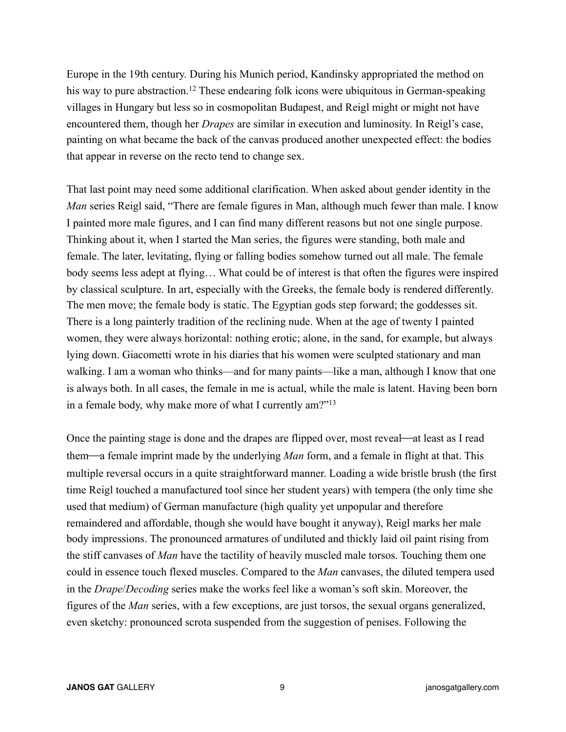Europe in the 19th century. During his Munich period, Kandinsky appropriated the method on his way to pure abstraction.<sup>12</sup> These endearing folk icons were ubiquitous in German-speaking villages in Hungary but less so in cosmopolitan Budapest, and Reigl might or might not have encountered them, though her *Drapes* are similar in execution and luminosity. In Reigl's case, painting on what became the back of the canvas produced another unexpected effect: the bodies that appear in reverse on the recto tend to change sex.

That last point may need some additional clarification. When asked about gender identity in the *Man* series Reigl said, "There are female figures in Man, although much fewer than male. I know I painted more male figures, and I can find many different reasons but not one single purpose. Thinking about it, when I started the Man series, the figures were standing, both male and female. The later, levitating, flying or falling bodies somehow turned out all male. The female body seems less adept at flying… What could be of interest is that often the figures were inspired by classical sculpture. In art, especially with the Greeks, the female body is rendered differently. The men move; the female body is static. The Egyptian gods step forward; the goddesses sit. There is a long painterly tradition of the reclining nude. When at the age of twenty I painted women, they were always horizontal: nothing erotic; alone, in the sand, for example, but always lying down. Giacometti wrote in his diaries that his women were sculpted stationary and man walking. I am a woman who thinks—and for many paints—like a man, although I know that one is always both. In all cases, the female in me is actual, while the male is latent. Having been born in a female body, why make more of what I currently am?"13

Once the painting stage is done and the drapes are flipped over, most reveal—at least as I read them—a female imprint made by the underlying *Man* form, and a female in flight at that. This multiple reversal occurs in a quite straightforward manner. Loading a wide bristle brush (the first time Reigl touched a manufactured tool since her student years) with tempera (the only time she used that medium) of German manufacture (high quality yet unpopular and therefore remaindered and affordable, though she would have bought it anyway), Reigl marks her male body impressions. The pronounced armatures of undiluted and thickly laid oil paint rising from the stiff canvases of *Man* have the tactility of heavily muscled male torsos. Touching them one could in essence touch flexed muscles. Compared to the *Man* canvases, the diluted tempera used in the *Drape*/*Decoding* series make the works feel like a woman's soft skin. Moreover, the figures of the *Man* series, with a few exceptions, are just torsos, the sexual organs generalized, even sketchy: pronounced scrota suspended from the suggestion of penises. Following the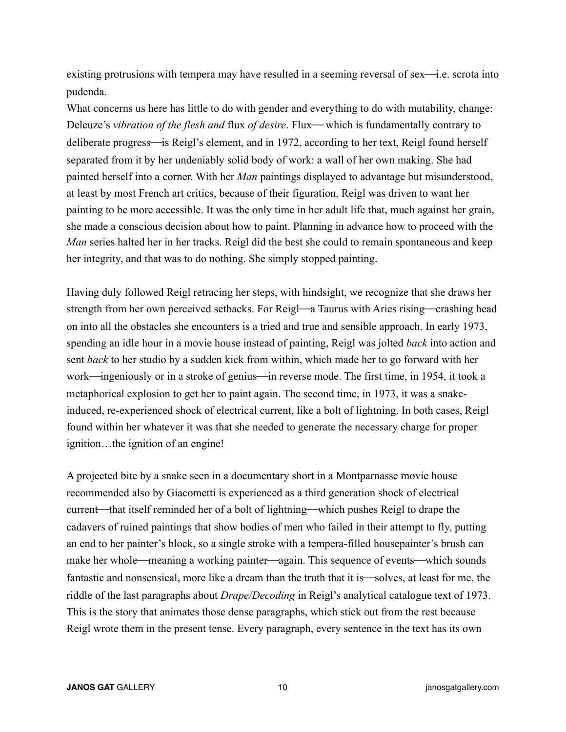existing protrusions with tempera may have resulted in a seeming reversal of sex—i.e. scrota into pudenda.

What concerns us here has little to do with gender and everything to do with mutability, change: Deleuze's *vibration of the flesh and flux of desire*. Flux—which is fundamentally contrary to deliberate progress—is Reigl's element, and in 1972, according to her text, Reigl found herself separated from it by her undeniably solid body of work: a wall of her own making. She had painted herself into a corner. With her *Man* paintings displayed to advantage but misunderstood, at least by most French art critics, because of their figuration, Reigl was driven to want her painting to be more accessible. It was the only time in her adult life that, much against her grain, she made a conscious decision about how to paint. Planning in advance how to proceed with the *Man* series halted her in her tracks. Reigl did the best she could to remain spontaneous and keep her integrity, and that was to do nothing. She simply stopped painting.

Having duly followed Reigl retracing her steps, with hindsight, we recognize that she draws her strength from her own perceived setbacks. For Reigl—a Taurus with Aries rising—crashing head on into all the obstacles she encounters is a tried and true and sensible approach. In early 1973, spending an idle hour in a movie house instead of painting, Reigl was jolted *back* into action and sent *back* to her studio by a sudden kick from within, which made her to go forward with her work—ingeniously or in a stroke of genius—in reverse mode. The first time, in 1954, it took a metaphorical explosion to get her to paint again. The second time, in 1973, it was a snakeinduced, re-experienced shock of electrical current, like a bolt of lightning. In both cases, Reigl found within her whatever it was that she needed to generate the necessary charge for proper ignition…the ignition of an engine!

A projected bite by a snake seen in a documentary short in a Montparnasse movie house recommended also by Giacometti is experienced as a third generation shock of electrical current—that itself reminded her of a bolt of lightning—which pushes Reigl to drape the cadavers of ruined paintings that show bodies of men who failed in their attempt to fly, putting an end to her painter's block, so a single stroke with a tempera-filled housepainter's brush can make her whole—meaning a working painter—again. This sequence of events—which sounds fantastic and nonsensical, more like a dream than the truth that it is—solves, at least for me, the riddle of the last paragraphs about *Drape/Decoding* in Reigl's analytical catalogue text of 1973. This is the story that animates those dense paragraphs, which stick out from the rest because Reigl wrote them in the present tense. Every paragraph, every sentence in the text has its own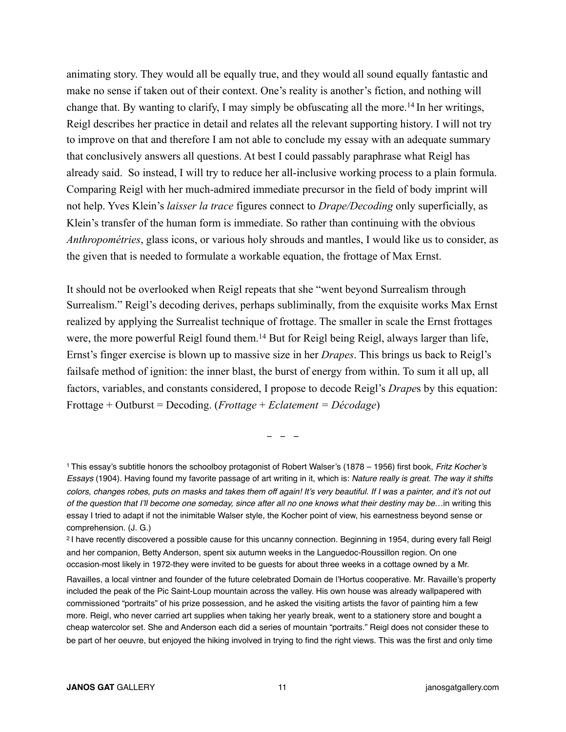animating story. They would all be equally true, and they would all sound equally fantastic and make no sense if taken out of their context. One's reality is another's fiction, and nothing will change that. By wanting to clarify, I may simply be obfuscating all the more.<sup>14</sup> In her writings, Reigl describes her practice in detail and relates all the relevant supporting history. I will not try to improve on that and therefore I am not able to conclude my essay with an adequate summary that conclusively answers all questions. At best I could passably paraphrase what Reigl has already said. So instead, I will try to reduce her all-inclusive working process to a plain formula. Comparing Reigl with her much-admired immediate precursor in the field of body imprint will not help. Yves Klein's *laisser la trace* figures connect to *Drape/Decoding* only superficially, as Klein's transfer of the human form is immediate. So rather than continuing with the obvious *Anthropométries*, glass icons, or various holy shrouds and mantles, I would like us to consider, as the given that is needed to formulate a workable equation, the frottage of Max Ernst.

It should not be overlooked when Reigl repeats that she "went beyond Surrealism through Surrealism." Reigl's decoding derives, perhaps subliminally, from the exquisite works Max Ernst realized by applying the Surrealist technique of frottage. The smaller in scale the Ernst frottages were, the more powerful Reigl found them.<sup>14</sup> But for Reigl being Reigl, always larger than life, Ernst's finger exercise is blown up to massive size in her *Drapes*. This brings us back to Reigl's failsafe method of ignition: the inner blast, the burst of energy from within. To sum it all up, all factors, variables, and constants considered, I propose to decode Reigl's *Drape*s by this equation: Frottage + Outburst = Decoding. (*Frottage* + *Eclatement = Décodage*)

- - -

<sup>1</sup> This essay's subtitle honors the schoolboy protagonist of Robert Walser's (1878 – 1956) first book, *Fritz Kocher's Essays* (1904). Having found my favorite passage of art writing in it, which is: *Nature really is great. The way it shifts colors, changes robes, puts on masks and takes them off again! It's very beautiful. If I was a painter, and it's not out of the question that I'll become one someday, since after all no one knows what their destiny may be…*in writing this essay I tried to adapt if not the inimitable Walser style, the Kocher point of view, his earnestness beyond sense or comprehension. (J. G.)

<sup>2</sup> I have recently discovered a possible cause for this uncanny connection. Beginning in 1954, during every fall Reigl and her companion, Betty Anderson, spent six autumn weeks in the Languedoc-Roussillon region. On one occasion-most likely in 1972-they were invited to be guests for about three weeks in a cottage owned by a Mr.

Ravailles, a local vintner and founder of the future celebrated Domain de l'Hortus cooperative. Mr. Ravaille's property included the peak of the Pic Saint-Loup mountain across the valley. His own house was already wallpapered with commissioned "portraits" of his prize possession, and he asked the visiting artists the favor of painting him a few more. Reigl, who never carried art supplies when taking her yearly break, went to a stationery store and bought a cheap watercolor set. She and Anderson each did a series of mountain "portraits." Reigl does not consider these to be part of her oeuvre, but enjoyed the hiking involved in trying to find the right views. This was the first and only time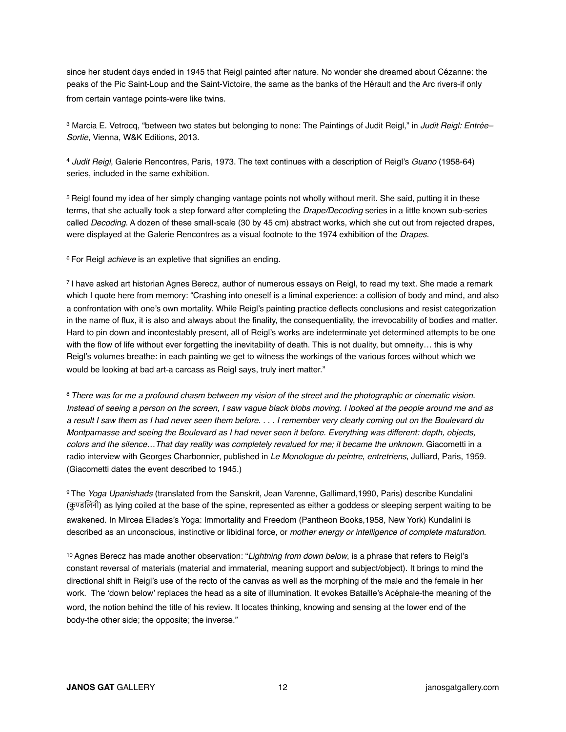since her student days ended in 1945 that Reigl painted after nature. No wonder she dreamed about Cézanne: the peaks of the Pic Saint-Loup and the Saint-Victoire, the same as the banks of the Hérault and the Arc rivers-if only from certain vantage points-were like twins.

3 Marcia E. Vetrocq, "between two states but belonging to none: The Paintings of Judit Reigl," in *Judit Reigl: Entrée– Sortie*, Vienna, W&K Editions, 2013.

<sup>4</sup> *Judit Reigl*, Galerie Rencontres, Paris, 1973. The text continues with a description of Reigl's *Guano* (1958-64) series, included in the same exhibition.

5 Reigl found my idea of her simply changing vantage points not wholly without merit. She said, putting it in these terms, that she actually took a step forward after completing the *Drape/Decoding* series in a little known sub-series called *Decoding*. A dozen of these small-scale (30 by 45 cm) abstract works, which she cut out from rejected drapes, were displayed at the Galerie Rencontres as a visual footnote to the 1974 exhibition of the *Drapes.*

6 For Reigl *achieve* is an expletive that signifies an ending.

7 I have asked art historian Agnes Berecz, author of numerous essays on Reigl, to read my text. She made a remark which I quote here from memory: "Crashing into oneself is a liminal experience: a collision of body and mind, and also a confrontation with one's own mortality. While Reigl's painting practice deflects conclusions and resist categorization in the name of flux, it is also and always about the finality, the consequentiality, the irrevocability of bodies and matter. Hard to pin down and incontestably present, all of Reigl's works are indeterminate yet determined attempts to be one with the flow of life without ever forgetting the inevitability of death. This is not duality, but omneity... this is why Reigl's volumes breathe: in each painting we get to witness the workings of the various forces without which we would be looking at bad art-a carcass as Reigl says, truly inert matter."

<sup>8</sup>*There was for me a profound chasm between my vision of the street and the photographic or cinematic vision. Instead of seeing a person on the screen, I saw vague black blobs moving. I looked at the people around me and as a result I saw them as I had never seen them before. . . . I remember very clearly coming out on the Boulevard du Montparnasse and seeing the Boulevard as I had never seen it before. Everything was different: depth, objects, colors and the silence…That day reality was completely revalued for me; it became the unknown.* Giacometti in a radio interview with Georges Charbonnier, published in *Le Monologue du peintre*, *entretriens*, Julliard, Paris, 1959. (Giacometti dates the event described to 1945.)

9 The *Yoga Upanishads* (translated from the Sanskrit, Jean Varenne, Gallimard,1990, Paris) describe Kundalini (कण्डलिनी) as lying coiled at the base of the spine, represented as either a goddess or sleeping serpent waiting to be awakened. In Mircea Eliades's Yoga: Immortality and Freedom (Pantheon Books,1958, New York) Kundalini is described as an unconscious, instinctive or libidinal force, or *mother energy or intelligence of complete maturation*.

10 Agnes Berecz has made another observation: "*Lightning from down below*, is a phrase that refers to Reigl's constant reversal of materials (material and immaterial, meaning support and subject/object). It brings to mind the directional shift in Reigl's use of the recto of the canvas as well as the morphing of the male and the female in her work. The 'down below' replaces the head as a site of illumination. It evokes Bataille's Acéphale-the meaning of the word, the notion behind the title of his review. It locates thinking, knowing and sensing at the lower end of the body-the other side; the opposite; the inverse."